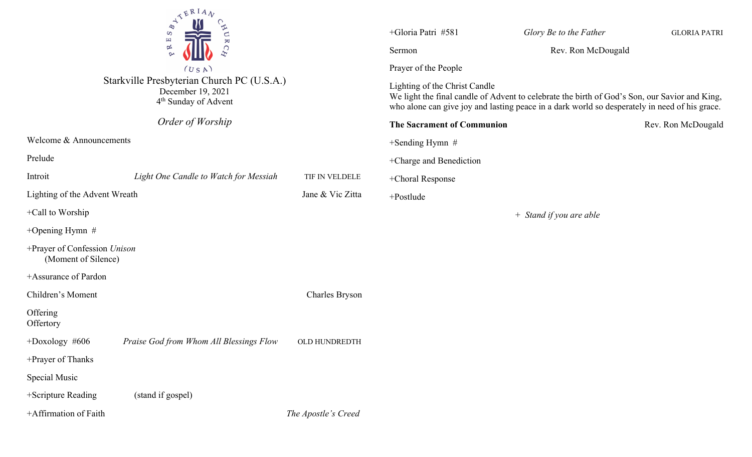| $\sum_{\substack{p\text{ odd}\\ p\text{ odd}}}^{\mathcal{A}}\sum_{\substack{p\text{ odd}\\ p\text{ odd}}}^{\mathcal{B}+1}$<br>CAU<br>$\overline{\mathbf{K}}$<br>C<br>$\sim$<br>(USA)<br>Starkville Presbyterian Church PC (U.S.A.)<br>December 19, 2021<br>4 <sup>th</sup> Sunday of Advent |                                         |                       | +Gloria Patri #581<br>Glory Be to the Father<br><b>GLORIA PATRI</b><br>Rev. Ron McDougald<br>Sermon<br>Prayer of the People<br>Lighting of the Christ Candle<br>We light the final candle of Advent to celebrate the birth of God's Son, our Savior and King,<br>who alone can give joy and lasting peace in a dark world so desperately in need of his grace. |  |                    |
|---------------------------------------------------------------------------------------------------------------------------------------------------------------------------------------------------------------------------------------------------------------------------------------------|-----------------------------------------|-----------------------|----------------------------------------------------------------------------------------------------------------------------------------------------------------------------------------------------------------------------------------------------------------------------------------------------------------------------------------------------------------|--|--------------------|
|                                                                                                                                                                                                                                                                                             | Order of Worship                        |                       | The Sacrament of Communion                                                                                                                                                                                                                                                                                                                                     |  | Rev. Ron McDougald |
| Welcome & Announcements                                                                                                                                                                                                                                                                     |                                         |                       | $+$ Sending Hymn #                                                                                                                                                                                                                                                                                                                                             |  |                    |
| Prelude                                                                                                                                                                                                                                                                                     |                                         |                       | +Charge and Benediction                                                                                                                                                                                                                                                                                                                                        |  |                    |
| Introit                                                                                                                                                                                                                                                                                     | Light One Candle to Watch for Messiah   | TIF IN VELDELE        | +Choral Response                                                                                                                                                                                                                                                                                                                                               |  |                    |
| Jane & Vic Zitta<br>Lighting of the Advent Wreath                                                                                                                                                                                                                                           |                                         |                       | +Postlude                                                                                                                                                                                                                                                                                                                                                      |  |                    |
| +Call to Worship                                                                                                                                                                                                                                                                            |                                         |                       | + Stand if you are able                                                                                                                                                                                                                                                                                                                                        |  |                    |
| +Opening Hymn $#$                                                                                                                                                                                                                                                                           |                                         |                       |                                                                                                                                                                                                                                                                                                                                                                |  |                    |
| +Prayer of Confession Unison<br>(Moment of Silence)                                                                                                                                                                                                                                         |                                         |                       |                                                                                                                                                                                                                                                                                                                                                                |  |                    |
| +Assurance of Pardon                                                                                                                                                                                                                                                                        |                                         |                       |                                                                                                                                                                                                                                                                                                                                                                |  |                    |
| Children's Moment                                                                                                                                                                                                                                                                           |                                         | <b>Charles Bryson</b> |                                                                                                                                                                                                                                                                                                                                                                |  |                    |
| Offering<br>Offertory                                                                                                                                                                                                                                                                       |                                         |                       |                                                                                                                                                                                                                                                                                                                                                                |  |                    |
| $+$ Doxology #606                                                                                                                                                                                                                                                                           | Praise God from Whom All Blessings Flow | OLD HUNDREDTH         |                                                                                                                                                                                                                                                                                                                                                                |  |                    |
| +Prayer of Thanks                                                                                                                                                                                                                                                                           |                                         |                       |                                                                                                                                                                                                                                                                                                                                                                |  |                    |
| Special Music                                                                                                                                                                                                                                                                               |                                         |                       |                                                                                                                                                                                                                                                                                                                                                                |  |                    |
| +Scripture Reading                                                                                                                                                                                                                                                                          | (stand if gospel)                       |                       |                                                                                                                                                                                                                                                                                                                                                                |  |                    |
| +Affirmation of Faith                                                                                                                                                                                                                                                                       |                                         | The Apostle's Creed   |                                                                                                                                                                                                                                                                                                                                                                |  |                    |
|                                                                                                                                                                                                                                                                                             |                                         |                       |                                                                                                                                                                                                                                                                                                                                                                |  |                    |